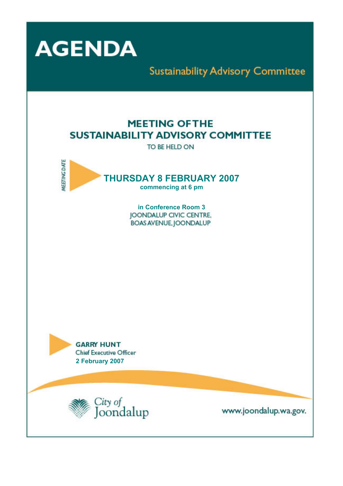

**Sustainability Advisory Committee** 

# **MEETING OFTHE SUSTAINABILITY ADVISORY COMMITTEE**

TO BE HELD ON



**in Conference Room 3 JOONDALUP CIVIC CENTRE. BOAS AVENUE, JOONDALUP** 

**GARRY HUNT** Chief Executive Officer  **2 February 2007** 



www.joondalup.wa.gov.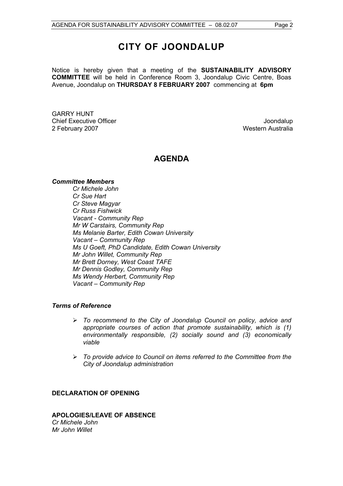# **CITY OF JOONDALUP**

Notice is hereby given that a meeting of the **SUSTAINABILITY ADVISORY COMMITTEE** will be held in Conference Room 3, Joondalup Civic Centre, Boas Avenue, Joondalup on **THURSDAY 8 FEBRUARY 2007** commencing at **6pm** 

GARRY HUNT Chief Executive Officer **Joondalup** 2 February 2007 Material Studies and Technical Studies and Western Australia

## **AGENDA**

#### *Committee Members*

*Cr Michele John Cr Sue Hart Cr Steve Magyar Cr Russ Fishwick Vacant - Community Rep Mr W Carstairs, Community Rep Ms Melanie Barter, Edith Cowan University Vacant – Community Rep Ms U Goeft, PhD Candidate, Edith Cowan University Mr John Willet, Community Rep Mr Brett Dorney, West Coast TAFE Mr Dennis Godley, Community Rep Ms Wendy Herbert, Community Rep Vacant – Community Rep* 

#### *Terms of Reference*

- ¾ *To recommend to the City of Joondalup Council on policy, advice and appropriate courses of action that promote sustainability, which is (1) environmentally responsible, (2) socially sound and (3) economically viable*
- ¾ *To provide advice to Council on items referred to the Committee from the City of Joondalup administration*

#### **DECLARATION OF OPENING**

**APOLOGIES/LEAVE OF ABSENCE**  *Cr Michele John Mr John Willet*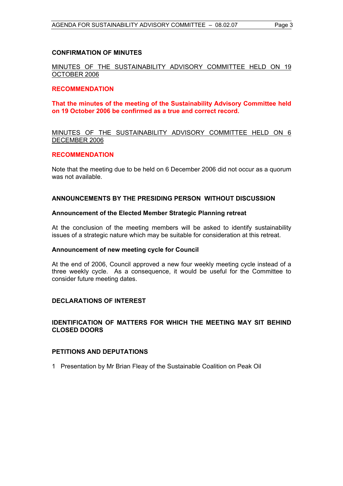#### **CONFIRMATION OF MINUTES**

MINUTES OF THE SUSTAINABILITY ADVISORY COMMITTEE HELD ON 19 OCTOBER 2006

#### **RECOMMENDATION**

**That the minutes of the meeting of the Sustainability Advisory Committee held on 19 October 2006 be confirmed as a true and correct record.** 

#### MINUTES OF THE SUSTAINABILITY ADVISORY COMMITTEE HELD ON 6 DECEMBER 2006

#### **RECOMMENDATION**

Note that the meeting due to be held on 6 December 2006 did not occur as a quorum was not available.

#### **ANNOUNCEMENTS BY THE PRESIDING PERSON WITHOUT DISCUSSION**

#### **Announcement of the Elected Member Strategic Planning retreat**

At the conclusion of the meeting members will be asked to identify sustainability issues of a strategic nature which may be suitable for consideration at this retreat.

#### **Announcement of new meeting cycle for Council**

At the end of 2006, Council approved a new four weekly meeting cycle instead of a three weekly cycle. As a consequence, it would be useful for the Committee to consider future meeting dates.

#### **DECLARATIONS OF INTEREST**

## **IDENTIFICATION OF MATTERS FOR WHICH THE MEETING MAY SIT BEHIND CLOSED DOORS**

#### **PETITIONS AND DEPUTATIONS**

1 Presentation by Mr Brian Fleay of the Sustainable Coalition on Peak Oil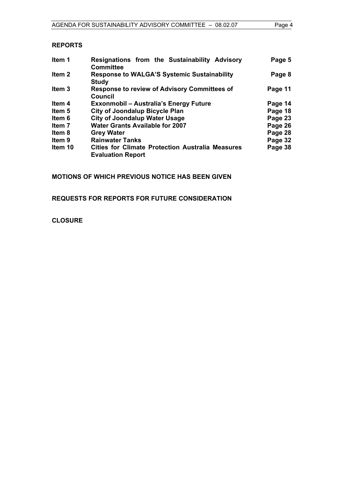## **REPORTS**

| ltem 1            | Resignations from the Sustainability Advisory<br><b>Committee</b>                   | Page 5  |
|-------------------|-------------------------------------------------------------------------------------|---------|
| Item 2            | <b>Response to WALGA'S Systemic Sustainability</b><br><b>Study</b>                  | Page 8  |
| Item <sub>3</sub> | <b>Response to review of Advisory Committees of</b><br>Council                      | Page 11 |
| Item 4            | <b>Exxonmobil - Australia's Energy Future</b>                                       | Page 14 |
| ltem 5            | <b>City of Joondalup Bicycle Plan</b>                                               | Page 18 |
| ltem 6            | <b>City of Joondalup Water Usage</b>                                                | Page 23 |
| Item 7            | <b>Water Grants Available for 2007</b>                                              | Page 26 |
| Item 8            | <b>Grey Water</b>                                                                   | Page 28 |
| Item 9            | <b>Rainwater Tanks</b>                                                              | Page 32 |
| Item 10           | <b>Cities for Climate Protection Australia Measures</b><br><b>Evaluation Report</b> | Page 38 |

## **MOTIONS OF WHICH PREVIOUS NOTICE HAS BEEN GIVEN**

**REQUESTS FOR REPORTS FOR FUTURE CONSIDERATION** 

**CLOSURE**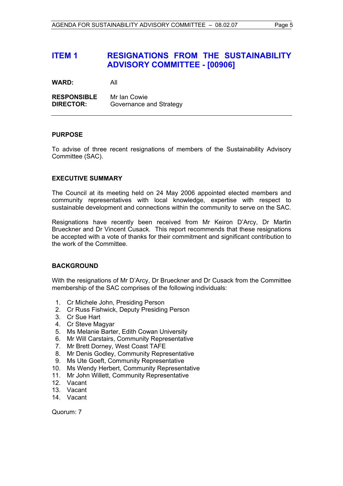## **ITEM 1 RESIGNATIONS FROM THE SUSTAINABILITY ADVISORY COMMITTEE - [00906]**

**WARD:** All

**RESPONSIBLE** Mr Ian Cowie **DIRECTOR:** Governance and Strategy

#### **PURPOSE**

To advise of three recent resignations of members of the Sustainability Advisory Committee (SAC).

## **EXECUTIVE SUMMARY**

The Council at its meeting held on 24 May 2006 appointed elected members and community representatives with local knowledge, expertise with respect to sustainable development and connections within the community to serve on the SAC.

Resignations have recently been received from Mr Keiron D'Arcy, Dr Martin Brueckner and Dr Vincent Cusack. This report recommends that these resignations be accepted with a vote of thanks for their commitment and significant contribution to the work of the Committee.

## **BACKGROUND**

With the resignations of Mr D'Arcy, Dr Brueckner and Dr Cusack from the Committee membership of the SAC comprises of the following individuals:

- 1. Cr Michele John, Presiding Person
- 2. Cr Russ Fishwick, Deputy Presiding Person
- 3. Cr Sue Hart
- 4. Cr Steve Magyar
- 5. Ms Melanie Barter, Edith Cowan University
- 6. Mr Will Carstairs, Community Representative
- 7. Mr Brett Dorney, West Coast TAFE
- 8. Mr Denis Godley, Community Representative
- 9. Ms Ute Goeft, Community Representative
- 10. Ms Wendy Herbert, Community Representative
- 11. Mr John Willett, Community Representative
- 12. Vacant
- 13. Vacant
- 14. Vacant

Quorum: 7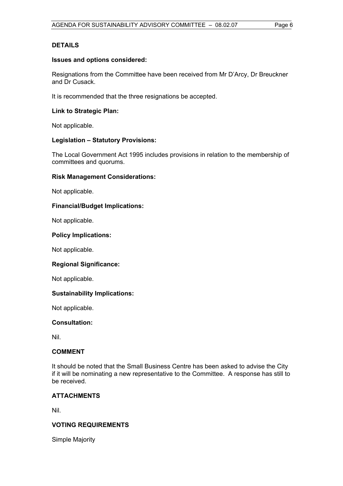### **DETAILS**

#### **Issues and options considered:**

Resignations from the Committee have been received from Mr D'Arcy, Dr Breuckner and Dr Cusack.

It is recommended that the three resignations be accepted.

#### **Link to Strategic Plan:**

Not applicable.

## **Legislation – Statutory Provisions:**

The Local Government Act 1995 includes provisions in relation to the membership of committees and quorums.

#### **Risk Management Considerations:**

Not applicable.

## **Financial/Budget Implications:**

Not applicable.

#### **Policy Implications:**

Not applicable.

#### **Regional Significance:**

Not applicable.

## **Sustainability Implications:**

Not applicable.

#### **Consultation:**

Nil.

#### **COMMENT**

It should be noted that the Small Business Centre has been asked to advise the City if it will be nominating a new representative to the Committee. A response has still to be received.

## **ATTACHMENTS**

Nil.

## **VOTING REQUIREMENTS**

Simple Majority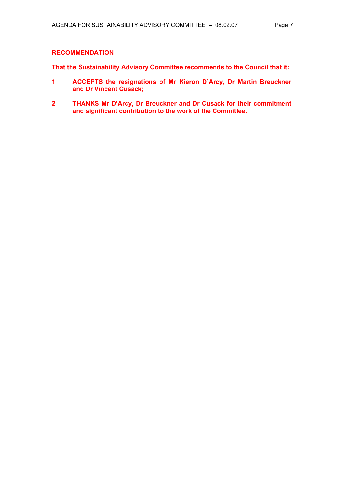### **RECOMMENDATION**

**That the Sustainability Advisory Committee recommends to the Council that it:** 

- **1 ACCEPTS the resignations of Mr Kieron D'Arcy, Dr Martin Breuckner and Dr Vincent Cusack;**
- **2 THANKS Mr D'Arcy, Dr Breuckner and Dr Cusack for their commitment and significant contribution to the work of the Committee.**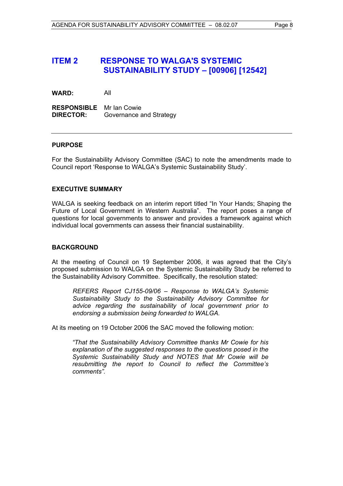## **ITEM 2 RESPONSE TO WALGA'S SYSTEMIC SUSTAINABILITY STUDY – [00906] [12542]**

**WARD:** All

**RESPONSIBLE** Mr Ian Cowie **DIRECTOR:** Governance and Strategy

#### **PURPOSE**

For the Sustainability Advisory Committee (SAC) to note the amendments made to Council report 'Response to WALGA's Systemic Sustainability Study'.

#### **EXECUTIVE SUMMARY**

WALGA is seeking feedback on an interim report titled "In Your Hands; Shaping the Future of Local Government in Western Australia". The report poses a range of questions for local governments to answer and provides a framework against which individual local governments can assess their financial sustainability.

## **BACKGROUND**

At the meeting of Council on 19 September 2006, it was agreed that the City's proposed submission to WALGA on the Systemic Sustainability Study be referred to the Sustainability Advisory Committee. Specifically, the resolution stated:

*REFERS Report CJ155-09/06 – Response to WALGA's Systemic Sustainability Study to the Sustainability Advisory Committee for advice regarding the sustainability of local government prior to endorsing a submission being forwarded to WALGA.* 

At its meeting on 19 October 2006 the SAC moved the following motion:

*"That the Sustainability Advisory Committee thanks Mr Cowie for his explanation of the suggested responses to the questions posed in the Systemic Sustainability Study and NOTES that Mr Cowie will be resubmitting the report to Council to reflect the Committee's comments".*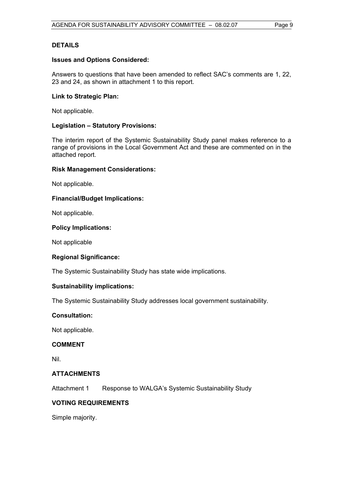### **DETAILS**

#### **Issues and Options Considered:**

Answers to questions that have been amended to reflect SAC's comments are 1, 22, 23 and 24, as shown in attachment 1 to this report.

#### **Link to Strategic Plan:**

Not applicable.

## **Legislation – Statutory Provisions:**

The interim report of the Systemic Sustainability Study panel makes reference to a range of provisions in the Local Government Act and these are commented on in the attached report.

#### **Risk Management Considerations:**

Not applicable.

## **Financial/Budget Implications:**

Not applicable.

#### **Policy Implications:**

Not applicable

## **Regional Significance:**

The Systemic Sustainability Study has state wide implications.

#### **Sustainability implications:**

The Systemic Sustainability Study addresses local government sustainability.

## **Consultation:**

Not applicable.

## **COMMENT**

Nil.

#### **ATTACHMENTS**

Attachment 1 Response to WALGA's Systemic Sustainability Study

## **VOTING REQUIREMENTS**

Simple majority.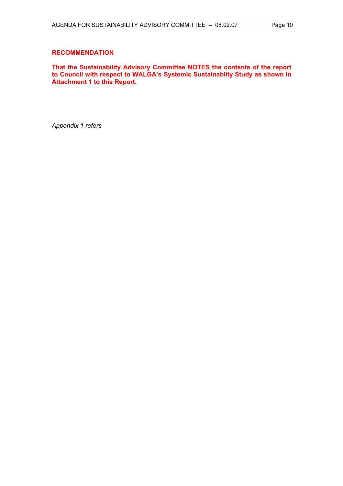#### **RECOMMENDATION**

**That the Sustainability Advisory Committee NOTES the contents of the report to Council with respect to WALGA's Systemic Sustainablity Study as shown in Attachment 1 to this Report.** 

*Appendix 1 refers*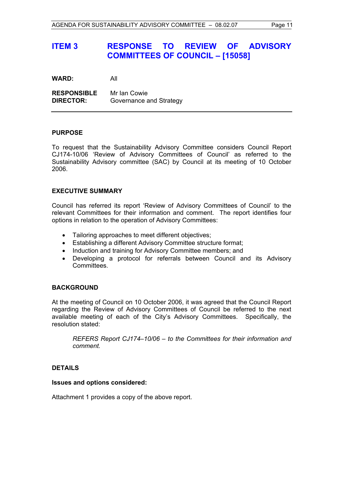## **ITEM 3 RESPONSE TO REVIEW OF ADVISORY COMMITTEES OF COUNCIL – [15058]**

**WARD:** All

**RESPONSIBLE** Mr Ian Cowie **DIRECTOR:** Governance and Strategy

#### **PURPOSE**

To request that the Sustainability Advisory Committee considers Council Report CJ174-10/06 'Review of Advisory Committees of Council' as referred to the Sustainability Advisory committee (SAC) by Council at its meeting of 10 October 2006.

#### **EXECUTIVE SUMMARY**

Council has referred its report 'Review of Advisory Committees of Council' to the relevant Committees for their information and comment. The report identifies four options in relation to the operation of Advisory Committees:

- Tailoring approaches to meet different objectives;
- Establishing a different Advisory Committee structure format;
- Induction and training for Advisory Committee members; and
- Developing a protocol for referrals between Council and its Advisory Committees.

#### **BACKGROUND**

At the meeting of Council on 10 October 2006, it was agreed that the Council Report regarding the Review of Advisory Committees of Council be referred to the next available meeting of each of the City's Advisory Committees. Specifically, the resolution stated:

*REFERS Report CJ174–10/06 – to the Committees for their information and comment.* 

## **DETAILS**

#### **Issues and options considered:**

Attachment 1 provides a copy of the above report.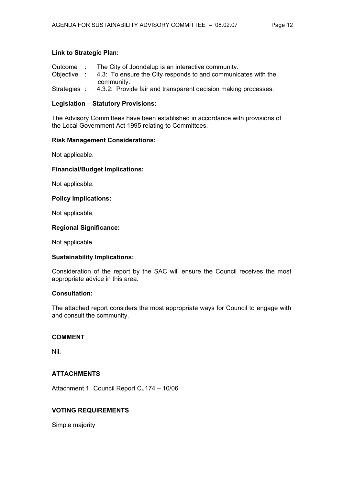## **Link to Strategic Plan:**

| Outcome :    | The City of Joondalup is an interactive community.             |
|--------------|----------------------------------------------------------------|
| Objective :  | 4.3: To ensure the City responds to and communicates with the  |
|              | community.                                                     |
| Strategies : | 4.3.2: Provide fair and transparent decision making processes. |

## **Legislation – Statutory Provisions:**

The Advisory Committees have been established in accordance with provisions of the Local Government Act 1995 relating to Committees.

#### **Risk Management Considerations:**

Not applicable.

#### **Financial/Budget Implications:**

Not applicable.

#### **Policy Implications:**

Not applicable.

#### **Regional Significance:**

Not applicable.

## **Sustainability Implications:**

Consideration of the report by the SAC will ensure the Council receives the most appropriate advice in this area.

#### **Consultation:**

The attached report considers the most appropriate ways for Council to engage with and consult the community.

## **COMMENT**

Nil.

## **ATTACHMENTS**

Attachment 1 Council Report CJ174 – 10/06

## **VOTING REQUIREMENTS**

Simple majority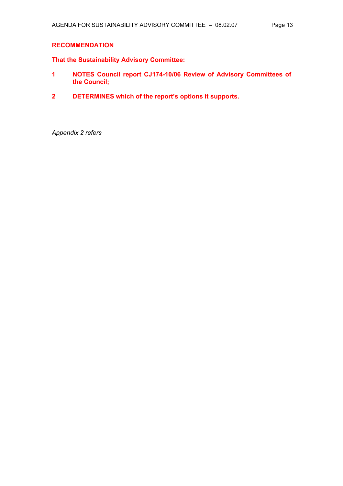### **RECOMMENDATION**

**That the Sustainability Advisory Committee:** 

- **1 NOTES Council report CJ174-10/06 Review of Advisory Committees of the Council;**
- **2 DETERMINES which of the report's options it supports.**

*Appendix 2 refers*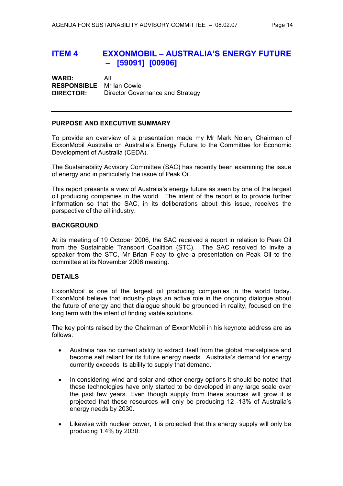## **ITEM 4 EXXONMOBIL – AUSTRALIA'S ENERGY FUTURE – [59091] [00906]**

**WARD:** All **RESPONSIBLE** Mr Ian Cowie **DIRECTOR:** Director Governance and Strategy

#### **PURPOSE AND EXECUTIVE SUMMARY**

To provide an overview of a presentation made my Mr Mark Nolan, Chairman of ExxonMobil Australia on Australia's Energy Future to the Committee for Economic Development of Australia (CEDA).

The Sustainability Advisory Committee (SAC) has recently been examining the issue of energy and in particularly the issue of Peak Oil.

This report presents a view of Australia's energy future as seen by one of the largest oil producing companies in the world. The intent of the report is to provide further information so that the SAC, in its deliberations about this issue, receives the perspective of the oil industry.

#### **BACKGROUND**

At its meeting of 19 October 2006, the SAC received a report in relation to Peak Oil from the Sustainable Transport Coalition (STC). The SAC resolved to invite a speaker from the STC, Mr Brian Fleay to give a presentation on Peak Oil to the committee at its November 2006 meeting.

## **DETAILS**

ExxonMobil is one of the largest oil producing companies in the world today. ExxonMobil believe that industry plays an active role in the ongoing dialogue about the future of energy and that dialogue should be grounded in reality, focused on the long term with the intent of finding viable solutions.

The key points raised by the Chairman of ExxonMobil in his keynote address are as follows:

- Australia has no current ability to extract itself from the global marketplace and become self reliant for its future energy needs. Australia's demand for energy currently exceeds its ability to supply that demand.
- In considering wind and solar and other energy options it should be noted that these technologies have only started to be developed in any large scale over the past few years. Even though supply from these sources will grow it is projected that these resources will only be producing 12 -13% of Australia's energy needs by 2030.
- Likewise with nuclear power, it is projected that this energy supply will only be producing 1.4% by 2030.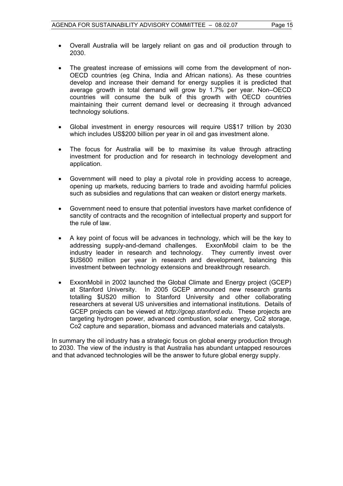- Overall Australia will be largely reliant on gas and oil production through to 2030.
- The greatest increase of emissions will come from the development of non-OECD countries (eg China, India and African nations). As these countries develop and increase their demand for energy supplies it is predicted that average growth in total demand will grow by 1.7% per year. Non–OECD countries will consume the bulk of this growth with OECD countries maintaining their current demand level or decreasing it through advanced technology solutions.
- Global investment in energy resources will require US\$17 trillion by 2030 which includes US\$200 billion per year in oil and gas investment alone.
- The focus for Australia will be to maximise its value through attracting investment for production and for research in technology development and application.
- Government will need to play a pivotal role in providing access to acreage, opening up markets, reducing barriers to trade and avoiding harmful policies such as subsidies and regulations that can weaken or distort energy markets.
- Government need to ensure that potential investors have market confidence of sanctity of contracts and the recognition of intellectual property and support for the rule of law.
- A key point of focus will be advances in technology, which will be the key to addressing supply-and-demand challenges. ExxonMobil claim to be the industry leader in research and technology. They currently invest over \$US600 million per year in research and development, balancing this investment between technology extensions and breakthrough research.
- ExxonMobil in 2002 launched the Global Climate and Energy project (GCEP) at Stanford University. In 2005 GCEP announced new research grants totalling \$US20 million to Stanford University and other collaborating researchers at several US universities and international institutions. Details of GCEP projects can be viewed at *http://gcep.stanford.edu*. These projects are targeting hydrogen power, advanced combustion, solar energy, Co2 storage, Co2 capture and separation, biomass and advanced materials and catalysts.

In summary the oil industry has a strategic focus on global energy production through to 2030. The view of the industry is that Australia has abundant untapped resources and that advanced technologies will be the answer to future global energy supply.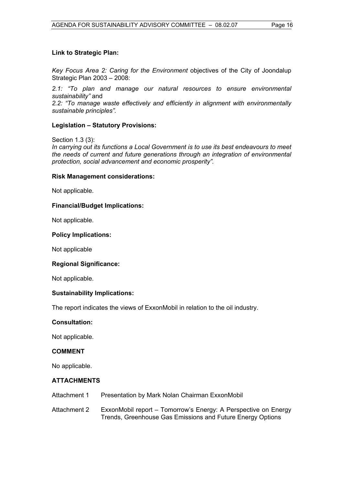### **Link to Strategic Plan:**

*Key Focus Area 2: Caring for the Environment* objectives of the City of Joondalup Strategic Plan 2003 – 2008:

*2.1: "To plan and manage our natural resources to ensure environmental sustainability"* and *2.2: "To manage waste effectively and efficiently in alignment with environmentally sustainable principles".*

## **Legislation – Statutory Provisions:**

Section 1.3 (3):

*In carrying out its functions a Local Government is to use its best endeavours to meet the needs of current and future generations through an integration of environmental protection, social advancement and economic prosperity".* 

#### **Risk Management considerations:**

Not applicable.

#### **Financial/Budget Implications:**

Not applicable.

#### **Policy Implications:**

Not applicable

#### **Regional Significance:**

Not applicable.

#### **Sustainability Implications:**

The report indicates the views of ExxonMobil in relation to the oil industry.

#### **Consultation:**

Not applicable.

### **COMMENT**

No applicable.

#### **ATTACHMENTS**

- Attachment 1 Presentation by Mark Nolan Chairman ExxonMobil
- Attachment 2 ExxonMobil report Tomorrow's Energy: A Perspective on Energy Trends, Greenhouse Gas Emissions and Future Energy Options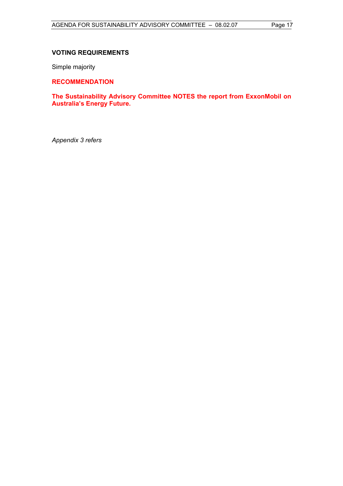## **VOTING REQUIREMENTS**

Simple majority

**RECOMMENDATION** 

**The Sustainability Advisory Committee NOTES the report from ExxonMobil on Australia's Energy Future.** 

*Appendix 3 refers*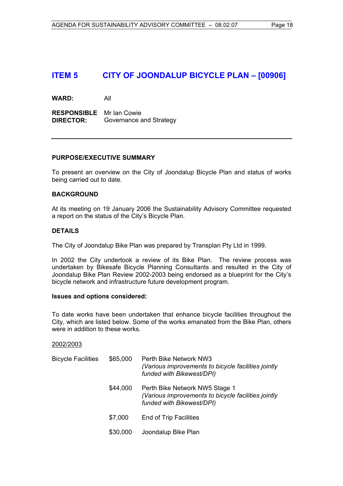## **ITEM 5 CITY OF JOONDALUP BICYCLE PLAN – [00906]**

**WARD:** All

**RESPONSIBLE** Mr Ian Cowie **DIRECTOR:** Governance and Strategy

#### **PURPOSE/EXECUTIVE SUMMARY**

To present an overview on the City of Joondalup Bicycle Plan and status of works being carried out to date.

#### **BACKGROUND**

At its meeting on 19 January 2006 the Sustainability Advisory Committee requested a report on the status of the City's Bicycle Plan.

#### **DETAILS**

The City of Joondalup Bike Plan was prepared by Transplan Pty Ltd in 1999.

In 2002 the City undertook a review of its Bike Plan. The review process was undertaken by Bikesafe Bicycle Planning Consultants and resulted in the City of Joondalup Bike Plan Review 2002-2003 being endorsed as a blueprint for the City's bicycle network and infrastructure future development program.

#### **Issues and options considered:**

To date works have been undertaken that enhance bicycle facilities throughout the City, which are listed below. Some of the works emanated from the Bike Plan, others were in addition to these works.

#### 2002/2003

| <b>Bicycle Facilities</b> | \$65,000 | Perth Bike Network NW3<br>(Various improvements to bicycle facilities jointly<br>funded with Bikewest/DPI)         |
|---------------------------|----------|--------------------------------------------------------------------------------------------------------------------|
|                           | \$44,000 | Perth Bike Network NW5 Stage 1<br>(Various improvements to bicycle facilities jointly<br>funded with Bikewest/DPI) |
|                           | \$7,000  | <b>End of Trip Facilities</b>                                                                                      |
|                           | \$30,000 | Joondalup Bike Plan                                                                                                |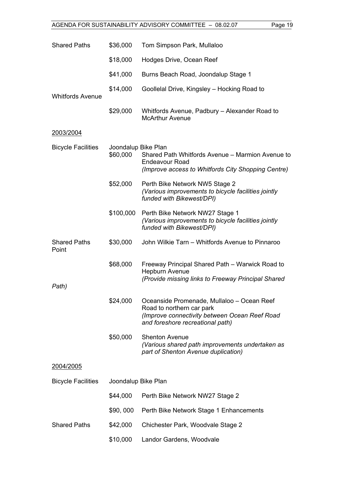| <b>Shared Paths</b>          | \$36,000                        | Tom Simpson Park, Mullaloo                                                                                                                                   |
|------------------------------|---------------------------------|--------------------------------------------------------------------------------------------------------------------------------------------------------------|
|                              | \$18,000                        | Hodges Drive, Ocean Reef                                                                                                                                     |
|                              | \$41,000                        | Burns Beach Road, Joondalup Stage 1                                                                                                                          |
| <b>Whitfords Avenue</b>      | \$14,000                        | Goollelal Drive, Kingsley - Hocking Road to                                                                                                                  |
|                              | \$29,000                        | Whitfords Avenue, Padbury - Alexander Road to<br><b>McArthur Avenue</b>                                                                                      |
| 2003/2004                    |                                 |                                                                                                                                                              |
| <b>Bicycle Facilities</b>    | Joondalup Bike Plan<br>\$60,000 | Shared Path Whitfords Avenue - Marmion Avenue to<br><b>Endeavour Road</b><br>(Improve access to Whitfords City Shopping Centre)                              |
|                              | \$52,000                        | Perth Bike Network NW5 Stage 2<br>(Various improvements to bicycle facilities jointly<br>funded with Bikewest/DPI)                                           |
|                              | \$100,000                       | Perth Bike Network NW27 Stage 1<br>(Various improvements to bicycle facilities jointly<br>funded with Bikewest/DPI)                                          |
| <b>Shared Paths</b><br>Point | \$30,000                        | John Wilkie Tarn - Whitfords Avenue to Pinnaroo                                                                                                              |
|                              | \$68,000                        | Freeway Principal Shared Path - Warwick Road to<br><b>Hepburn Avenue</b><br>(Provide missing links to Freeway Principal Shared                               |
| Path)                        |                                 |                                                                                                                                                              |
|                              | \$24,000                        | Oceanside Promenade, Mullaloo - Ocean Reef<br>Road to northern car park<br>(Improve connectivity between Ocean Reef Road<br>and foreshore recreational path) |
|                              | \$50,000                        | <b>Shenton Avenue</b><br>(Various shared path improvements undertaken as<br>part of Shenton Avenue duplication)                                              |
| <u>2004/2005</u>             |                                 |                                                                                                                                                              |
| <b>Bicycle Facilities</b>    | Joondalup Bike Plan             |                                                                                                                                                              |
|                              | \$44,000                        | Perth Bike Network NW27 Stage 2                                                                                                                              |
|                              | \$90,000                        | Perth Bike Network Stage 1 Enhancements                                                                                                                      |
| <b>Shared Paths</b>          | \$42,000                        | Chichester Park, Woodvale Stage 2                                                                                                                            |
|                              | \$10,000                        | Landor Gardens, Woodvale                                                                                                                                     |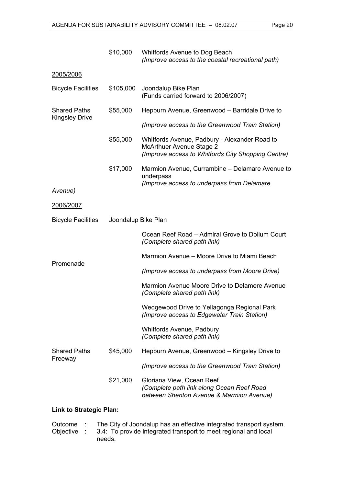|                           | \$10,000            | Whitfords Avenue to Dog Beach<br>(Improve access to the coastal recreational path)                                                     |
|---------------------------|---------------------|----------------------------------------------------------------------------------------------------------------------------------------|
| 2005/2006                 |                     |                                                                                                                                        |
| <b>Bicycle Facilities</b> | \$105,000           | Joondalup Bike Plan<br>(Funds carried forward to 2006/2007)                                                                            |
| <b>Shared Paths</b>       | \$55,000            | Hepburn Avenue, Greenwood - Barridale Drive to                                                                                         |
| <b>Kingsley Drive</b>     |                     | (Improve access to the Greenwood Train Station)                                                                                        |
|                           | \$55,000            | Whitfords Avenue, Padbury - Alexander Road to<br><b>McArthuer Avenue Stage 2</b><br>(Improve access to Whitfords City Shopping Centre) |
|                           | \$17,000            | Marmion Avenue, Currambine – Delamare Avenue to<br>underpass                                                                           |
| Avenue)                   |                     | (Improve access to underpass from Delamare                                                                                             |
| 2006/2007                 |                     |                                                                                                                                        |
| <b>Bicycle Facilities</b> | Joondalup Bike Plan |                                                                                                                                        |
|                           |                     | Ocean Reef Road – Admiral Grove to Dolium Court<br>(Complete shared path link)                                                         |
| Promenade                 |                     | Marmion Avenue – Moore Drive to Miami Beach                                                                                            |
|                           |                     | (Improve access to underpass from Moore Drive)                                                                                         |
|                           |                     | Marmion Avenue Moore Drive to Delamere Avenue<br>(Complete shared path link)                                                           |
|                           |                     | Wedgewood Drive to Yellagonga Regional Park<br>(Improve access to Edgewater Train Station)                                             |
|                           |                     | Whitfords Avenue, Padbury<br>(Complete shared path link)                                                                               |
| <b>Shared Paths</b>       | \$45,000            | Hepburn Avenue, Greenwood – Kingsley Drive to                                                                                          |
| Freeway                   |                     | (Improve access to the Greenwood Train Station)                                                                                        |
|                           | \$21,000            | Gloriana View, Ocean Reef<br>(Complete path link along Ocean Reef Road<br>between Shenton Avenue & Marmion Avenue)                     |

## **Link to Strategic Plan:**

Outcome : The City of Joondalup has an effective integrated transport system.<br>Objective : 3.4: To provide integrated transport to meet regional and local 3.4: To provide integrated transport to meet regional and local needs.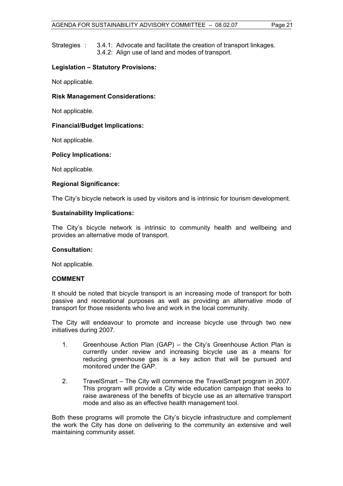Strategies : 3.4.1: Advocate and facilitate the creation of transport linkages. 3.4.2: Align use of land and modes of transport.

## **Legislation – Statutory Provisions:**

Not applicable.

#### **Risk Management Considerations:**

Not applicable.

#### **Financial/Budget Implications:**

Not applicable.

#### **Policy Implications:**

Not applicable.

#### **Regional Significance:**

The City's bicycle network is used by visitors and is intrinsic for tourism development.

#### **Sustainability Implications:**

The City's bicycle network is intrinsic to community health and wellbeing and provides an alternative mode of transport.

#### **Consultation:**

Not applicable.

#### **COMMENT**

It should be noted that bicycle transport is an increasing mode of transport for both passive and recreational purposes as well as providing an alternative mode of transport for those residents who live and work in the local community.

The City will endeavour to promote and increase bicycle use through two new initiatives during 2007.

- 1. Greenhouse Action Plan (GAP) the City's Greenhouse Action Plan is currently under review and increasing bicycle use as a means for reducing greenhouse gas is a key action that will be pursued and monitored under the GAP.
- 2. TravelSmart The City will commence the TravelSmart program in 2007. This program will provide a City wide education campaign that seeks to raise awareness of the benefits of bicycle use as an alternative transport mode and also as an effective health management tool.

Both these programs will promote the City's bicycle infrastructure and complement the work the City has done on delivering to the community an extensive and well maintaining community asset.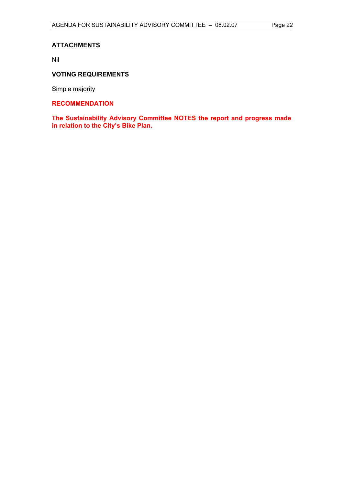## **ATTACHMENTS**

Nil

## **VOTING REQUIREMENTS**

Simple majority

## **RECOMMENDATION**

**The Sustainability Advisory Committee NOTES the report and progress made in relation to the City's Bike Plan.**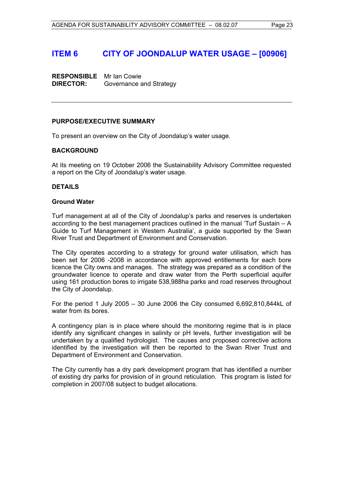## **ITEM 6 CITY OF JOONDALUP WATER USAGE – [00906]**

**RESPONSIBLE** Mr Ian Cowie **DIRECTOR:** Governance and Strategy

#### **PURPOSE/EXECUTIVE SUMMARY**

To present an overview on the City of Joondalup's water usage.

#### **BACKGROUND**

At its meeting on 19 October 2006 the Sustainability Advisory Committee requested a report on the City of Joondalup's water usage.

#### **DETAILS**

#### **Ground Water**

Turf management at all of the City of Joondalup's parks and reserves is undertaken according to the best management practices outlined in the manual 'Turf Sustain – A Guide to Turf Management in Western Australia', a guide supported by the Swan River Trust and Department of Environment and Conservation.

The City operates according to a strategy for ground water utilisation, which has been set for 2006 -2008 in accordance with approved entitlements for each bore licence the City owns and manages. The strategy was prepared as a condition of the groundwater licence to operate and draw water from the Perth superficial aquifer using 161 production bores to irrigate 538,988ha parks and road reserves throughout the City of Joondalup.

For the period 1 July 2005 – 30 June 2006 the City consumed 6,692,810,844kL of water from its bores.

A contingency plan is in place where should the monitoring regime that is in place identify any significant changes in salinity or pH levels, further investigation will be undertaken by a qualified hydrologist. The causes and proposed corrective actions identified by the investigation will then be reported to the Swan River Trust and Department of Environment and Conservation.

The City currently has a dry park development program that has identified a number of existing dry parks for provision of in ground reticulation. This program is listed for completion in 2007/08 subject to budget allocations.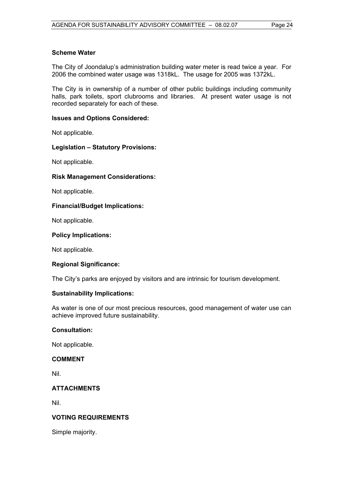#### **Scheme Water**

The City of Joondalup's administration building water meter is read twice a year. For 2006 the combined water usage was 1318kL. The usage for 2005 was 1372kL.

The City is in ownership of a number of other public buildings including community halls, park toilets, sport clubrooms and libraries. At present water usage is not recorded separately for each of these.

#### **Issues and Options Considered:**

Not applicable.

#### **Legislation – Statutory Provisions:**

Not applicable.

#### **Risk Management Considerations:**

Not applicable.

#### **Financial/Budget Implications:**

Not applicable.

#### **Policy Implications:**

Not applicable.

#### **Regional Significance:**

The City's parks are enjoyed by visitors and are intrinsic for tourism development.

#### **Sustainability Implications:**

As water is one of our most precious resources, good management of water use can achieve improved future sustainability.

#### **Consultation:**

Not applicable.

#### **COMMENT**

Nil.

## **ATTACHMENTS**

Nil.

## **VOTING REQUIREMENTS**

Simple majority.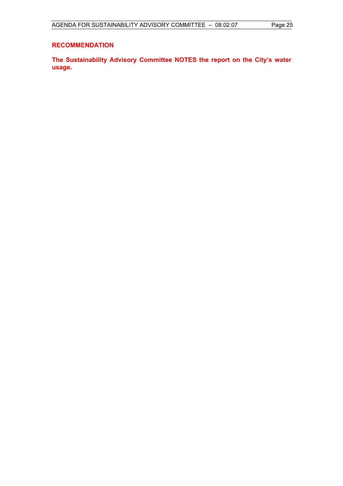## **RECOMMENDATION**

**The Sustainability Advisory Committee NOTES the report on the City's water usage.**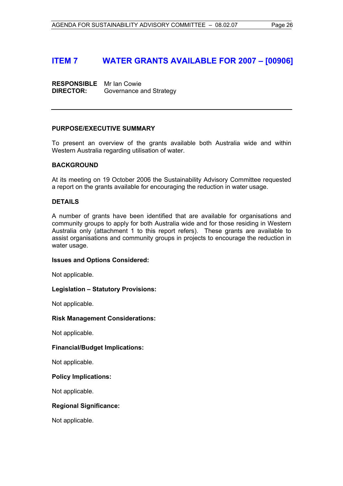## **ITEM 7 WATER GRANTS AVAILABLE FOR 2007 – [00906]**

**RESPONSIBLE** Mr Ian Cowie **DIRECTOR:** Governance and Strategy

#### **PURPOSE/EXECUTIVE SUMMARY**

To present an overview of the grants available both Australia wide and within Western Australia regarding utilisation of water.

#### **BACKGROUND**

At its meeting on 19 October 2006 the Sustainability Advisory Committee requested a report on the grants available for encouraging the reduction in water usage.

#### **DETAILS**

A number of grants have been identified that are available for organisations and community groups to apply for both Australia wide and for those residing in Western Australia only (attachment 1 to this report refers). These grants are available to assist organisations and community groups in projects to encourage the reduction in water usage.

#### **Issues and Options Considered:**

Not applicable.

## **Legislation – Statutory Provisions:**

Not applicable.

## **Risk Management Considerations:**

Not applicable.

## **Financial/Budget Implications:**

Not applicable.

#### **Policy Implications:**

Not applicable.

#### **Regional Significance:**

Not applicable.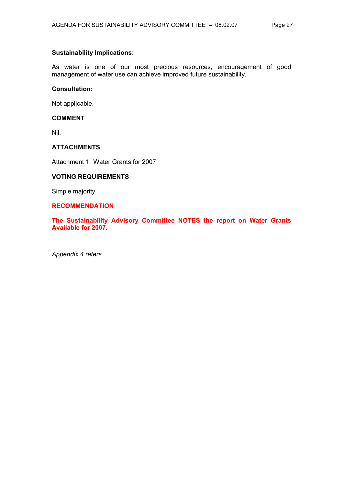## **Sustainability Implications:**

As water is one of our most precious resources, encouragement of good management of water use can achieve improved future sustainability.

#### **Consultation:**

Not applicable.

## **COMMENT**

Nil.

## **ATTACHMENTS**

Attachment 1 Water Grants for 2007

## **VOTING REQUIREMENTS**

Simple majority.

### **RECOMMENDATION**

**The Sustainability Advisory Committee NOTES the report on Water Grants Available for 2007.** 

*Appendix 4 refers*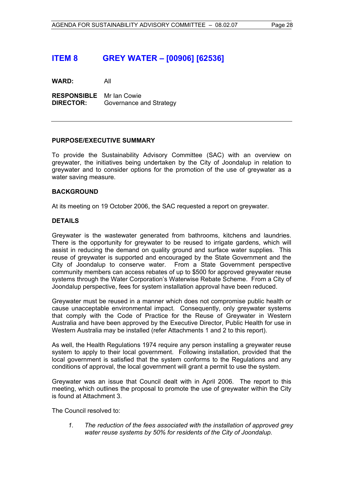## **ITEM 8 GREY WATER – [00906] [62536]**

**WARD:** All

**RESPONSIBLE** Mr Ian Cowie **DIRECTOR:** Governance and Strategy

#### **PURPOSE/EXECUTIVE SUMMARY**

To provide the Sustainability Advisory Committee (SAC) with an overview on greywater, the initiatives being undertaken by the City of Joondalup in relation to greywater and to consider options for the promotion of the use of greywater as a water saving measure.

#### **BACKGROUND**

At its meeting on 19 October 2006, the SAC requested a report on greywater.

#### **DETAILS**

Greywater is the wastewater generated from bathrooms, kitchens and laundries. There is the opportunity for greywater to be reused to irrigate gardens, which will assist in reducing the demand on quality ground and surface water supplies. This reuse of greywater is supported and encouraged by the State Government and the City of Joondalup to conserve water. From a State Government perspective community members can access rebates of up to \$500 for approved greywater reuse systems through the Water Corporation's Waterwise Rebate Scheme. From a City of Joondalup perspective, fees for system installation approval have been reduced.

Greywater must be reused in a manner which does not compromise public health or cause unacceptable environmental impact. Consequently, only greywater systems that comply with the Code of Practice for the Reuse of Greywater in Western Australia and have been approved by the Executive Director, Public Health for use in Western Australia may be installed (refer Attachments 1 and 2 to this report).

As well, the Health Regulations 1974 require any person installing a greywater reuse system to apply to their local government. Following installation, provided that the local government is satisfied that the system conforms to the Regulations and any conditions of approval, the local government will grant a permit to use the system.

Greywater was an issue that Council dealt with in April 2006. The report to this meeting, which outlines the proposal to promote the use of greywater within the City is found at Attachment 3.

The Council resolved to:

*1. The reduction of the fees associated with the installation of approved grey water reuse systems by 50% for residents of the City of Joondalup.*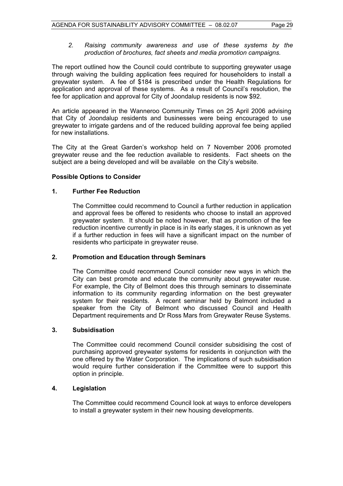*2. Raising community awareness and use of these systems by the production of brochures, fact sheets and media promotion campaigns.* 

The report outlined how the Council could contribute to supporting greywater usage through waiving the building application fees required for householders to install a greywater system. A fee of \$184 is prescribed under the Health Regulations for application and approval of these systems. As a result of Council's resolution, the fee for application and approval for City of Joondalup residents is now \$92.

An article appeared in the Wanneroo Community Times on 25 April 2006 advising that City of Joondalup residents and businesses were being encouraged to use greywater to irrigate gardens and of the reduced building approval fee being applied for new installations.

The City at the Great Garden's workshop held on 7 November 2006 promoted greywater reuse and the fee reduction available to residents. Fact sheets on the subject are a being developed and will be available on the City's website.

## **Possible Options to Consider**

#### **1. Further Fee Reduction**

The Committee could recommend to Council a further reduction in application and approval fees be offered to residents who choose to install an approved greywater system. It should be noted however, that as promotion of the fee reduction incentive currently in place is in its early stages, it is unknown as yet if a further reduction in fees will have a significant impact on the number of residents who participate in greywater reuse.

#### **2. Promotion and Education through Seminars**

The Committee could recommend Council consider new ways in which the City can best promote and educate the community about greywater reuse. For example, the City of Belmont does this through seminars to disseminate information to its community regarding information on the best greywater system for their residents. A recent seminar held by Belmont included a speaker from the City of Belmont who discussed Council and Health Department requirements and Dr Ross Mars from Greywater Reuse Systems.

#### **3. Subsidisation**

The Committee could recommend Council consider subsidising the cost of purchasing approved greywater systems for residents in conjunction with the one offered by the Water Corporation. The implications of such subsidisation would require further consideration if the Committee were to support this option in principle.

## **4. Legislation**

The Committee could recommend Council look at ways to enforce developers to install a greywater system in their new housing developments.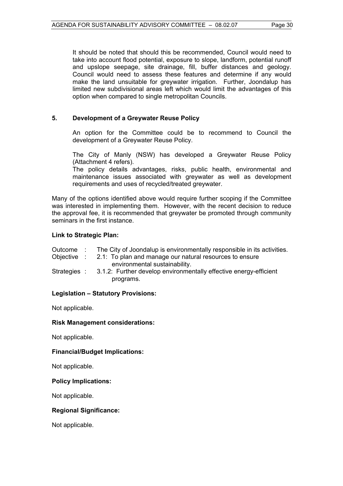It should be noted that should this be recommended, Council would need to take into account flood potential, exposure to slope, landform, potential runoff and upslope seepage, site drainage, fill, buffer distances and geology. Council would need to assess these features and determine if any would make the land unsuitable for greywater irrigation. Further, Joondalup has limited new subdivisional areas left which would limit the advantages of this option when compared to single metropolitan Councils.

## **5. Development of a Greywater Reuse Policy**

An option for the Committee could be to recommend to Council the development of a Greywater Reuse Policy.

The City of Manly (NSW) has developed a Greywater Reuse Policy (Attachment 4 refers).

The policy details advantages, risks, public health, environmental and maintenance issues associated with greywater as well as development requirements and uses of recycled/treated greywater.

Many of the options identified above would require further scoping if the Committee was interested in implementing them. However, with the recent decision to reduce the approval fee, it is recommended that greywater be promoted through community seminars in the first instance.

## **Link to Strategic Plan:**

| Outcome |  |  |  | The City of Joondalup is environmentally responsible in its activities. |
|---------|--|--|--|-------------------------------------------------------------------------|
|         |  |  |  |                                                                         |

- Objective : 2.1: To plan and manage our natural resources to ensure environmental sustainability.
- Strategies : 3.1.2: Further develop environmentally effective energy-efficient programs.

## **Legislation – Statutory Provisions:**

Not applicable.

#### **Risk Management considerations:**

Not applicable.

## **Financial/Budget Implications:**

Not applicable.

#### **Policy Implications:**

Not applicable.

## **Regional Significance:**

Not applicable.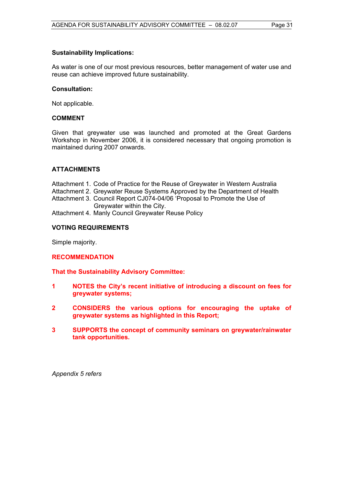### **Sustainability Implications:**

As water is one of our most previous resources, better management of water use and reuse can achieve improved future sustainability.

#### **Consultation:**

Not applicable.

#### **COMMENT**

Given that greywater use was launched and promoted at the Great Gardens Workshop in November 2006, it is considered necessary that ongoing promotion is maintained during 2007 onwards.

#### **ATTACHMENTS**

Attachment 1. Code of Practice for the Reuse of Greywater in Western Australia Attachment 2. Greywater Reuse Systems Approved by the Department of Health Attachment 3. Council Report CJ074-04/06 'Proposal to Promote the Use of

- Greywater within the City.
- Attachment 4. Manly Council Greywater Reuse Policy

#### **VOTING REQUIREMENTS**

Simple majority.

#### **RECOMMENDATION**

**That the Sustainability Advisory Committee:** 

- **1 NOTES the City's recent initiative of introducing a discount on fees for greywater systems;**
- **2 CONSIDERS the various options for encouraging the uptake of greywater systems as highlighted in this Report;**
- **3 SUPPORTS the concept of community seminars on greywater/rainwater tank opportunities.**

*Appendix 5 refers*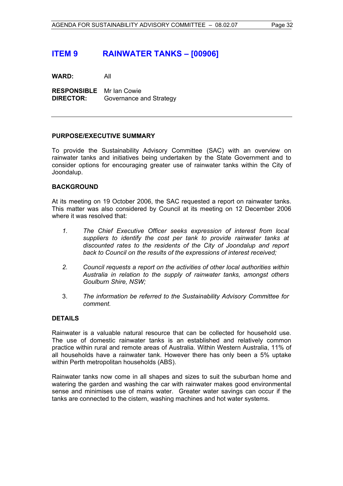## **ITEM 9 RAINWATER TANKS – [00906]**

**WARD:** All

**RESPONSIBLE** Mr Ian Cowie **DIRECTOR:** Governance and Strategy

#### **PURPOSE/EXECUTIVE SUMMARY**

To provide the Sustainability Advisory Committee (SAC) with an overview on rainwater tanks and initiatives being undertaken by the State Government and to consider options for encouraging greater use of rainwater tanks within the City of Joondalup.

#### **BACKGROUND**

At its meeting on 19 October 2006, the SAC requested a report on rainwater tanks. This matter was also considered by Council at its meeting on 12 December 2006 where it was resolved that:

- *1. The Chief Executive Officer seeks expression of interest from local suppliers to identify the cost per tank to provide rainwater tanks at discounted rates to the residents of the City of Joondalup and report back to Council on the results of the expressions of interest received;*
- *2. Council requests a report on the activities of other local authorities within Australia in relation to the supply of rainwater tanks, amongst others Goulburn Shire, NSW;*
- 3. *The information be referred to the Sustainability Advisory Committee for comment.*

#### **DETAILS**

Rainwater is a valuable natural resource that can be collected for household use. The use of domestic rainwater tanks is an established and relatively common practice within rural and remote areas of Australia. Within Western Australia, 11% of all households have a rainwater tank. However there has only been a 5% uptake within Perth metropolitan households (ABS).

Rainwater tanks now come in all shapes and sizes to suit the suburban home and watering the garden and washing the car with rainwater makes good environmental sense and minimises use of mains water. Greater water savings can occur if the tanks are connected to the cistern, washing machines and hot water systems.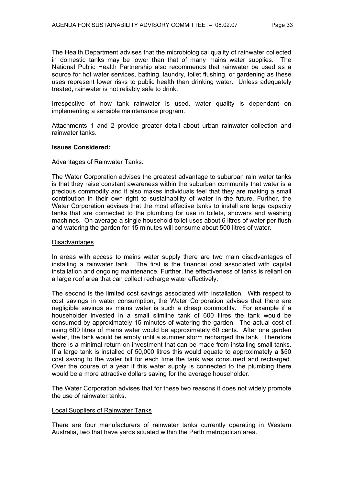The Health Department advises that the microbiological quality of rainwater collected in domestic tanks may be lower than that of many mains water supplies. The National Public Health Partnership also recommends that rainwater be used as a source for hot water services, bathing, laundry, toilet flushing, or gardening as these uses represent lower risks to public health than drinking water. Unless adequately treated, rainwater is not reliably safe to drink.

Irrespective of how tank rainwater is used, water quality is dependant on implementing a sensible maintenance program.

Attachments 1 and 2 provide greater detail about urban rainwater collection and rainwater tanks.

#### **Issues Considered:**

#### Advantages of Rainwater Tanks:

The Water Corporation advises the greatest advantage to suburban rain water tanks is that they raise constant awareness within the suburban community that water is a precious commodity and it also makes individuals feel that they are making a small contribution in their own right to sustainability of water in the future. Further, the Water Corporation advises that the most effective tanks to install are large capacity tanks that are connected to the plumbing for use in toilets, showers and washing machines. On average a single household toilet uses about 6 litres of water per flush and watering the garden for 15 minutes will consume about 500 litres of water.

#### **Disadvantages**

In areas with access to mains water supply there are two main disadvantages of installing a rainwater tank. The first is the financial cost associated with capital installation and ongoing maintenance. Further, the effectiveness of tanks is reliant on a large roof area that can collect recharge water effectively.

The second is the limited cost savings associated with installation. With respect to cost savings in water consumption, the Water Corporation advises that there are negligible savings as mains water is such a cheap commodity. For example if a householder invested in a small slimline tank of 600 litres the tank would be consumed by approximately 15 minutes of watering the garden. The actual cost of using 600 litres of mains water would be approximately 60 cents. After one garden water, the tank would be empty until a summer storm recharged the tank. Therefore there is a minimal return on investment that can be made from installing small tanks. If a large tank is installed of 50,000 litres this would equate to approximately a \$50 cost saving to the water bill for each time the tank was consumed and recharged. Over the course of a year if this water supply is connected to the plumbing there would be a more attractive dollars saving for the average householder.

The Water Corporation advises that for these two reasons it does not widely promote the use of rainwater tanks.

#### Local Suppliers of Rainwater Tanks

There are four manufacturers of rainwater tanks currently operating in Western Australia, two that have yards situated within the Perth metropolitan area.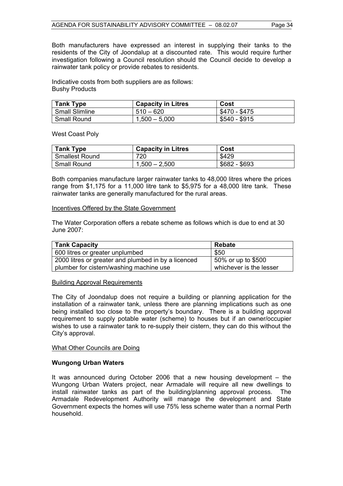Both manufacturers have expressed an interest in supplying their tanks to the residents of the City of Joondalup at a discounted rate. This would require further investigation following a Council resolution should the Council decide to develop a rainwater tank policy or provide rebates to residents.

Indicative costs from both suppliers are as follows: Bushy Products

| Tank Type      | <b>Capacity in Litres</b> | Cost          |
|----------------|---------------------------|---------------|
| Small Slimline | $510 - 620$               | \$470 - \$475 |
| Small Round    | $1,500 - 5,000$           | \$540 - \$915 |

West Coast Poly

| <b>Tank Type</b>      | <b>Capacity in Litres</b> | Cost          |
|-----------------------|---------------------------|---------------|
| <b>Smallest Round</b> | 720                       | \$429         |
| <b>Small Round</b>    | $1,500 - 2,500$           | \$682 - \$693 |

Both companies manufacture larger rainwater tanks to 48,000 litres where the prices range from \$1,175 for a 11,000 litre tank to \$5,975 for a 48,000 litre tank. These rainwater tanks are generally manufactured for the rural areas.

#### Incentives Offered by the State Government

The Water Corporation offers a rebate scheme as follows which is due to end at 30 June 2007:

| <b>Tank Capacity</b>                                | Rebate                  |
|-----------------------------------------------------|-------------------------|
| 600 litres or greater unplumbed                     | \$50                    |
| 2000 litres or greater and plumbed in by a licenced | 50% or up to \$500      |
| plumber for cistern/washing machine use             | whichever is the lesser |

#### Building Approval Requirements

The City of Joondalup does not require a building or planning application for the installation of a rainwater tank, unless there are planning implications such as one being installed too close to the property's boundary. There is a building approval requirement to supply potable water (scheme) to houses but if an owner/occupier wishes to use a rainwater tank to re-supply their cistern, they can do this without the City's approval.

#### What Other Councils are Doing

#### **Wungong Urban Waters**

It was announced during October 2006 that a new housing development – the Wungong Urban Waters project, near Armadale will require all new dwellings to install rainwater tanks as part of the building/planning approval process. The Armadale Redevelopment Authority will manage the development and State Government expects the homes will use 75% less scheme water than a normal Perth household.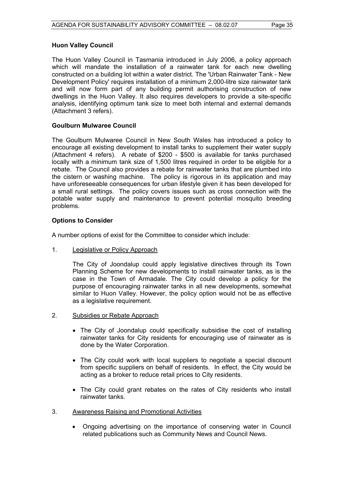#### **Huon Valley Council**

The Huon Valley Council in Tasmania introduced in July 2006, a policy approach which will mandate the installation of a rainwater tank for each new dwelling constructed on a building lot within a water district. The 'Urban Rainwater Tank - New Development Policy' requires installation of a minimum 2,000-litre size rainwater tank and will now form part of any building permit authorising construction of new dwellings in the Huon Valley. It also requires developers to provide a site-specific analysis, identifying optimum tank size to meet both internal and external demands (Attachment 3 refers).

#### **Goulburn Mulwaree Council**

The Goulburn Mulwaree Council in New South Wales has introduced a policy to encourage all existing development to install tanks to supplement their water supply (Attachment 4 refers). A rebate of \$200 - \$500 is available for tanks purchased locally with a minimum tank size of 1,500 litres required in order to be eligible for a rebate. The Council also provides a rebate for rainwater tanks that are plumbed into the cistern or washing machine. The policy is rigorous in its application and may have unforeseeable consequences for urban lifestyle given it has been developed for a small rural settings. The policy covers issues such as cross connection with the potable water supply and maintenance to prevent potential mosquito breeding problems.

#### **Options to Consider**

A number options of exist for the Committee to consider which include:

1. Legislative or Policy Approach

The City of Joondalup could apply legislative directives through its Town Planning Scheme for new developments to install rainwater tanks, as is the case in the Town of Armadale. The City could develop a policy for the purpose of encouraging rainwater tanks in all new developments, somewhat similar to Huon Valley. However, the policy option would not be as effective as a legislative requirement.

- 2. Subsidies or Rebate Approach
	- The City of Joondalup could specifically subsidise the cost of installing rainwater tanks for City residents for encouraging use of rainwater as is done by the Water Corporation.
	- The City could work with local suppliers to negotiate a special discount from specific suppliers on behalf of residents. In effect, the City would be acting as a broker to reduce retail prices to City residents.
	- The City could grant rebates on the rates of City residents who install rainwater tanks.
- 3. Awareness Raising and Promotional Activities
	- Ongoing advertising on the importance of conserving water in Council related publications such as Community News and Council News.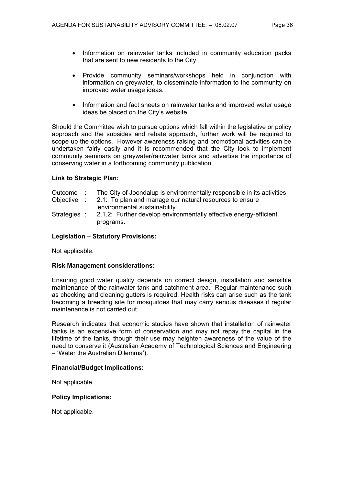- Information on rainwater tanks included in community education packs that are sent to new residents to the City.
- Provide community seminars/workshops held in conjunction with information on greywater, to disseminate information to the community on improved water usage ideas.
- Information and fact sheets on rainwater tanks and improved water usage ideas be placed on the City's website.

Should the Committee wish to pursue options which fall within the legislative or policy approach and the subsides and rebate approach, further work will be required to scope up the options. However awareness raising and promotional activities can be undertaken fairly easily and it is recommended that the City look to implement community seminars on greywater/rainwater tanks and advertise the importance of conserving water in a forthcoming community publication.

#### **Link to Strategic Plan:**

- Outcome : The City of Joondalup is environmentally responsible in its activities.
- Objective : 2.1: To plan and manage our natural resources to ensure environmental sustainability.
- Strategies : 2.1.2: Further develop environmentally effective energy-efficient programs.

#### **Legislation – Statutory Provisions:**

Not applicable.

#### **Risk Management considerations:**

Ensuring good water quality depends on correct design, installation and sensible maintenance of the rainwater tank and catchment area. Regular maintenance such as checking and cleaning gutters is required. Health risks can arise such as the tank becoming a breeding site for mosquitoes that may carry serious diseases if regular maintenance is not carried out.

Research indicates that economic studies have shown that installation of rainwater tanks is an expensive form of conservation and may not repay the capital in the lifetime of the tanks, though their use may heighten awareness of the value of the need to conserve it (Australian Academy of Technological Sciences and Engineering – 'Water the Australian Dilemma').

#### **Financial/Budget Implications:**

Not applicable.

#### **Policy Implications:**

Not applicable.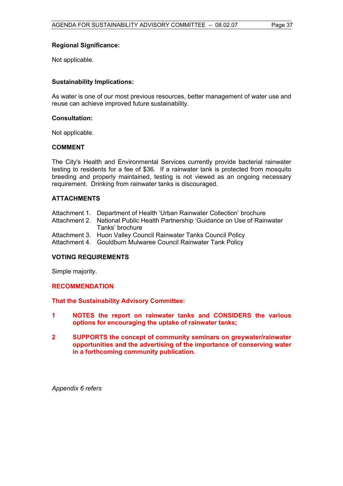#### **Regional Significance:**

Not applicable.

#### **Sustainability Implications:**

As water is one of our most previous resources, better management of water use and reuse can achieve improved future sustainability.

#### **Consultation:**

Not applicable.

#### **COMMENT**

The City's Health and Environmental Services currently provide bacterial rainwater testing to residents for a fee of \$36. If a rainwater tank is protected from mosquito breeding and properly maintained, testing is not viewed as an ongoing necessary requirement. Drinking from rainwater tanks is discouraged.

#### **ATTACHMENTS**

| Attachment 1. Department of Health 'Urban Rainwater Collection' brochure |  |  |  |  |  |
|--------------------------------------------------------------------------|--|--|--|--|--|
|--------------------------------------------------------------------------|--|--|--|--|--|

- Attachment 2. National Public Health Partnership 'Guidance on Use of Rainwater Tanks' brochure
- Attachment 3. Huon Valley Council Rainwater Tanks Council Policy
- Attachment 4. Gouldburn Mulwaree Council Rainwater Tank Policy

## **VOTING REQUIREMENTS**

Simple majority.

#### **RECOMMENDATION**

**That the Sustainability Advisory Committee:** 

- **1 NOTES the report on rainwater tanks and CONSIDERS the various options for encouraging the uptake of rainwater tanks;**
- **2 SUPPORTS the concept of community seminars on greywater/rainwater opportunities and the advertising of the importance of conserving water in a forthcoming community publication.**

*Appendix 6 refers*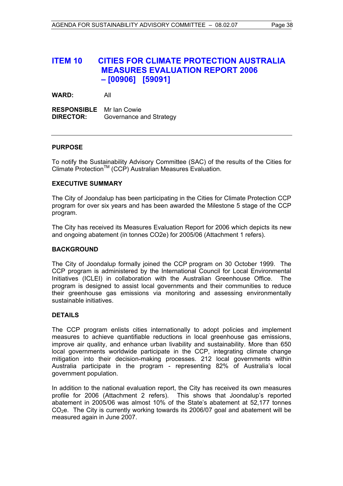## **ITEM 10 CITIES FOR CLIMATE PROTECTION AUSTRALIA MEASURES EVALUATION REPORT 2006 – [00906] [59091]**

**WARD:** All

**RESPONSIBLE** Mr Ian Cowie **DIRECTOR:** Governance and Strategy

#### **PURPOSE**

To notify the Sustainability Advisory Committee (SAC) of the results of the Cities for Climate Protection<sup>™</sup> (CCP) Australian Measures Evaluation.

#### **EXECUTIVE SUMMARY**

The City of Joondalup has been participating in the Cities for Climate Protection CCP program for over six years and has been awarded the Milestone 5 stage of the CCP program.

The City has received its Measures Evaluation Report for 2006 which depicts its new and ongoing abatement (in tonnes CO2e) for 2005/06 (Attachment 1 refers).

#### **BACKGROUND**

The City of Joondalup formally joined the CCP program on 30 October 1999. The CCP program is administered by the International Council for Local Environmental Initiatives (ICLEI) in collaboration with the Australian Greenhouse Office. The program is designed to assist local governments and their communities to reduce their greenhouse gas emissions via monitoring and assessing environmentally sustainable initiatives.

#### **DETAILS**

The CCP program enlists cities internationally to adopt policies and implement measures to achieve quantifiable reductions in local greenhouse gas emissions, improve air quality, and enhance urban livability and sustainability. More than 650 local governments worldwide participate in the CCP, integrating climate change mitigation into their decision-making processes. 212 local governments within Australia participate in the program - representing 82% of Australia's local government population.

In addition to the national evaluation report, the City has received its own measures profile for 2006 (Attachment 2 refers). This shows that Joondalup's reported abatement in 2005/06 was almost 10% of the State's abatement at 52,177 tonnes  $CO<sub>2</sub>e$ . The City is currently working towards its 2006/07 goal and abatement will be measured again in June 2007.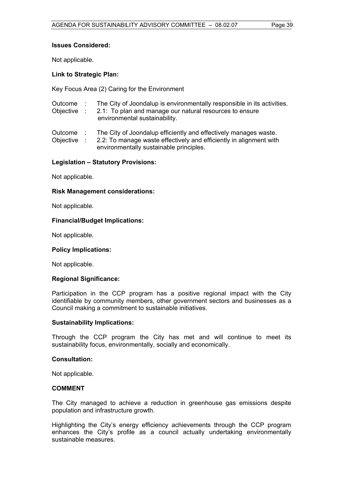#### **Issues Considered:**

Not applicable.

#### **Link to Strategic Plan:**

Key Focus Area (2) Caring for the Environment

- Outcome : The City of Joondalup is environmentally responsible in its activities.
- Objective : 2.1: To plan and manage our natural resources to ensure environmental sustainability.

Outcome : The City of Joondalup efficiently and effectively manages waste.

Objective : 2.2: To manage waste effectively and efficiently in alignment with environmentally sustainable principles.

#### **Legislation – Statutory Provisions:**

Not applicable.

## **Risk Management considerations:**

Not applicable.

#### **Financial/Budget Implications:**

Not applicable.

#### **Policy Implications:**

Not applicable.

#### **Regional Significance:**

Participation in the CCP program has a positive regional impact with the City identifiable by community members, other government sectors and businesses as a Council making a commitment to sustainable initiatives.

#### **Sustainability Implications:**

Through the CCP program the City has met and will continue to meet its sustainability focus, environmentally, socially and economically.

#### **Consultation:**

Not applicable.

#### **COMMENT**

The City managed to achieve a reduction in greenhouse gas emissions despite population and infrastructure growth.

Highlighting the City's energy efficiency achievements through the CCP program enhances the City's profile as a council actually undertaking environmentally sustainable measures.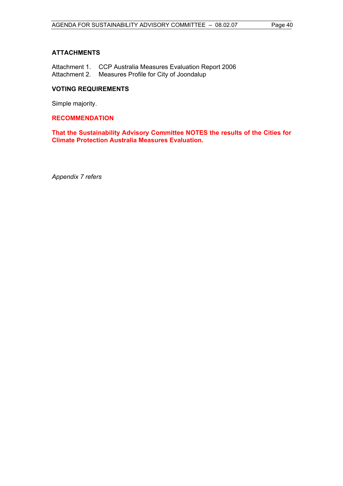## **ATTACHMENTS**

Attachment 1. CCP Australia Measures Evaluation Report 2006 Attachment 2. Measures Profile for City of Joondalup

## **VOTING REQUIREMENTS**

Simple majority.

### **RECOMMENDATION**

**That the Sustainability Advisory Committee NOTES the results of the Cities for Climate Protection Australia Measures Evaluation.** 

*Appendix 7 refers*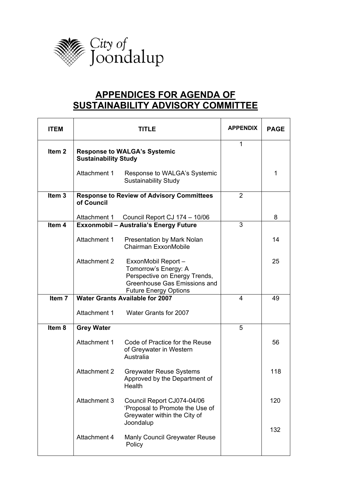

# **APPENDICES FOR AGENDA OF SUSTAINABILITY ADVISORY COMMITTEE**

| <b>ITEM</b>       |                                                                    | TITLE                                                                                                                                        | <b>APPENDIX</b> | <b>PAGE</b> |
|-------------------|--------------------------------------------------------------------|----------------------------------------------------------------------------------------------------------------------------------------------|-----------------|-------------|
| Item <sub>2</sub> | <b>Response to WALGA's Systemic</b><br><b>Sustainability Study</b> | 1                                                                                                                                            |                 |             |
|                   | Attachment 1                                                       | Response to WALGA's Systemic<br><b>Sustainability Study</b>                                                                                  |                 | 1           |
| Item <sub>3</sub> | of Council                                                         | <b>Response to Review of Advisory Committees</b>                                                                                             | $\overline{2}$  |             |
|                   | Attachment 1                                                       | Council Report CJ 174 - 10/06                                                                                                                |                 | 8           |
| Item <sub>4</sub> |                                                                    | <b>Exxonmobil - Australia's Energy Future</b>                                                                                                | 3               |             |
|                   | Attachment 1                                                       | <b>Presentation by Mark Nolan</b><br>Chairman ExxonMobile                                                                                    |                 | 14          |
|                   | Attachment 2                                                       | ExxonMobil Report -<br>Tomorrow's Energy: A<br>Perspective on Energy Trends,<br>Greenhouse Gas Emissions and<br><b>Future Energy Options</b> |                 | 25          |
| Item 7            |                                                                    | <b>Water Grants Available for 2007</b>                                                                                                       | $\overline{4}$  | 49          |
|                   | Attachment 1                                                       | Water Grants for 2007                                                                                                                        |                 |             |
| Item <sub>8</sub> | <b>Grey Water</b>                                                  |                                                                                                                                              | 5               |             |
|                   | Attachment 1                                                       | Code of Practice for the Reuse<br>of Greywater in Western<br>Australia                                                                       |                 | 56          |
|                   | <b>Attachment 2</b>                                                | <b>Greywater Reuse Systems</b><br>Approved by the Department of<br>Health                                                                    |                 | 118         |
|                   | Attachment 3                                                       | Council Report CJ074-04/06<br>'Proposal to Promote the Use of<br>Greywater within the City of<br>Joondalup                                   |                 | 120         |
|                   | Attachment 4                                                       | Manly Council Greywater Reuse<br>Policy                                                                                                      |                 | 132         |